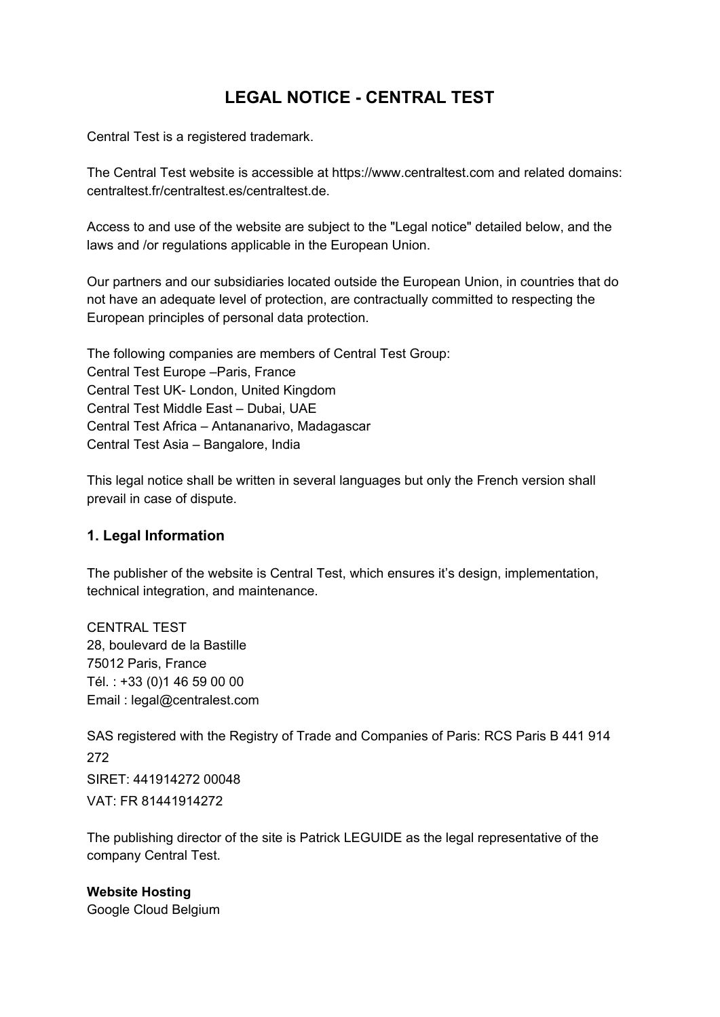# **LEGAL NOTICE - CENTRAL TEST**

Central Test is a registered trademark.

The Central Test website is accessible at https://www.centraltest.com and related domains: centraltest.fr/centraltest.es/centraltest.de.

Access to and use of the website are subject to the "Legal notice" detailed below, and the laws and /or regulations applicable in the European Union.

Our partners and our subsidiaries located outside the European Union, in countries that do not have an adequate level of protection, are contractually committed to respecting the European principles of personal data protection.

The following companies are members of Central Test Group: Central Test Europe –Paris, France Central Test UK- London, United Kingdom Central Test Middle East – Dubai, UAE Central Test Africa – Antananarivo, Madagascar Central Test Asia – Bangalore, India

This legal notice shall be written in several languages but only the French version shall prevail in case of dispute.

#### **1. Legal Information**

The publisher of the website is Central Test, which ensures it's design, implementation, technical integration, and maintenance.

CENTRAL TEST 28, boulevard de la Bastille 75012 Paris, France Tél. : +33 (0)1 46 59 00 00 Email : legal@centralest.com

SAS registered with the Registry of Trade and Companies of Paris: RCS Paris B 441 914 272 SIRET: 441914272 00048 VAT: FR 81441914272

The publishing director of the site is Patrick LEGUIDE as the legal representative of the company Central Test.

**Website Hosting** Google Cloud Belgium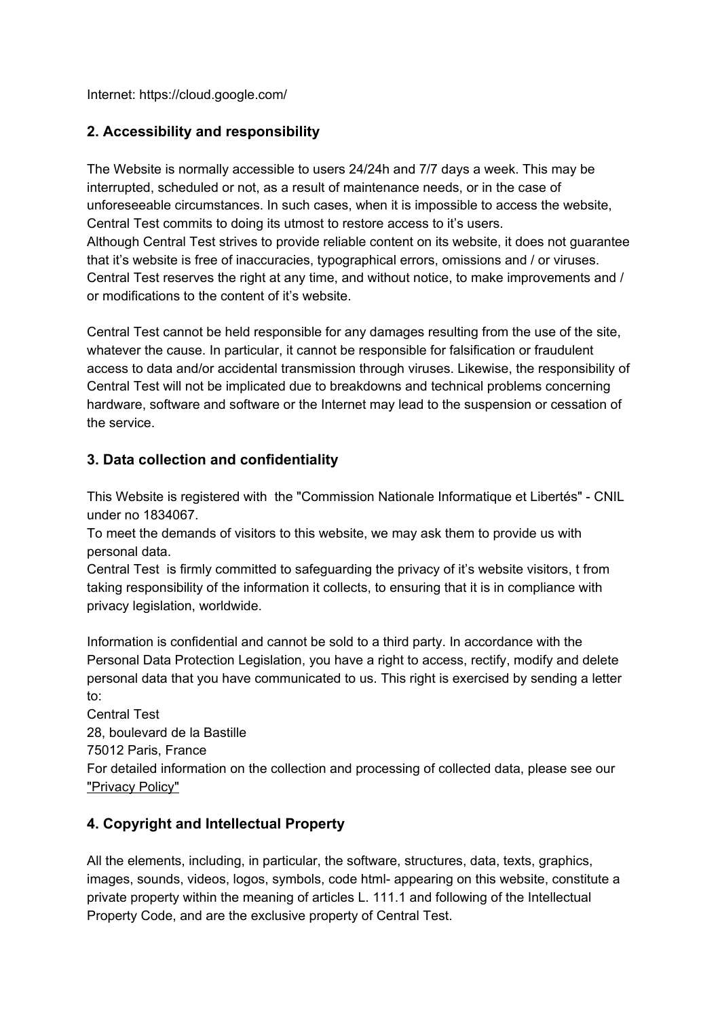Internet: https://cloud.google.com/

### **2. Accessibility and responsibility**

The Website is normally accessible to users 24/24h and 7/7 days a week. This may be interrupted, scheduled or not, as a result of maintenance needs, or in the case of unforeseeable circumstances. In such cases, when it is impossible to access the website, Central Test commits to doing its utmost to restore access to it's users. Although Central Test strives to provide reliable content on its website, it does not guarantee that it's website is free of inaccuracies, typographical errors, omissions and / or viruses. Central Test reserves the right at any time, and without notice, to make improvements and / or modifications to the content of it's website.

Central Test cannot be held responsible for any damages resulting from the use of the site, whatever the cause. In particular, it cannot be responsible for falsification or fraudulent access to data and/or accidental transmission through viruses. Likewise, the responsibility of Central Test will not be implicated due to breakdowns and technical problems concerning hardware, software and software or the Internet may lead to the suspension or cessation of the service.

#### **3. Data collection and confidentiality**

This Website is registered with the "Commission Nationale Informatique et Libertés" - CNIL under no 1834067.

To meet the demands of visitors to this website, we may ask them to provide us with personal data.

Central Test is firmly committed to safeguarding the privacy of it's website visitors, t from taking responsibility of the information it collects, to ensuring that it is in compliance with privacy legislation, worldwide.

Information is confidential and cannot be sold to a third party. In accordance with the Personal Data Protection Legislation, you have a right to access, rectify, modify and delete personal data that you have communicated to us. This right is exercised by sending a letter to:

Central Test 28, boulevard de la Bastille 75012 Paris, France For detailed information on the collection and processing of collected data, please see our "Privacy Policy"

#### **4. Copyright and Intellectual Property**

All the elements, including, in particular, the software, structures, data, texts, graphics, images, sounds, videos, logos, symbols, code html- appearing on this website, constitute a private property within the meaning of articles L. 111.1 and following of the Intellectual Property Code, and are the exclusive property of Central Test.